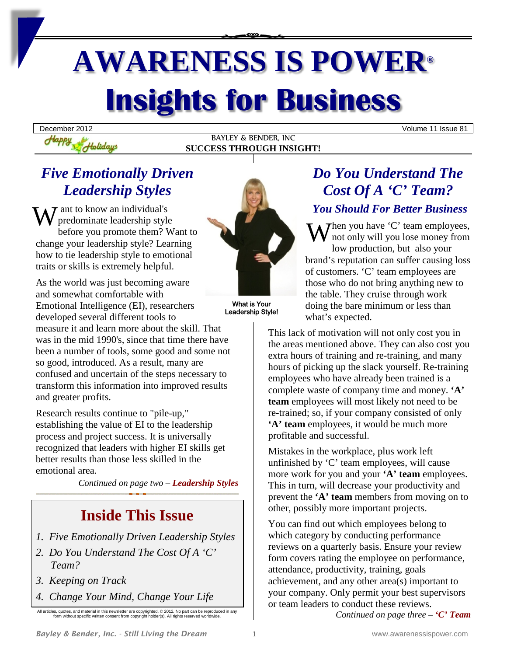# **AWARENESS IS POWER® Insights for Business**

BAYLEY & BENDER, INC **SUCCESS THROUGH INSIGHT!**

December 2012 Volume 11 Issue 81

# *Five Emotionally Driven Leadership Styles*

Holidays

 $\tau$  ant to know an individual's predominate leadership style before you promote them? Want to W ant to know an individual's *You*<br>before you promote them? Want to<br>change your leadership style? Learning  $\mathbf{W}$ how to tie leadership style to emotional traits or skills is extremely helpful.

As the world was just becoming aware and somewhat comfortable with Emotional Intelligence (EI), researchers developed several different tools to

measure it and learn more about the skill. That was in the mid 1990's, since that time there have been a number of tools, some good and some not so good, introduced. As a result, many are confused and uncertain of the steps necessary to transform this information into improved results and greater profits.

Research results continue to "pile-up," establishing the value of EI to the leadership process and project success. It is universally recognized that leaders with higher EI skills get better results than those less skilled in the emotional area.

*Continued on page two – Leadership Styles*

# **Inside This Issue**

- *1. Five Emotionally Driven Leadership Styles*
- *2. Do You Understand The Cost Of A 'C' Team?*
- *3. Keeping on Track*
- *4. Change Your Mind, Change Your Life*

All articles, quotes, and material in this newsletter are copyrighted. © 2012. No part can be reproduced in any form without specific written consent from copyright holder(s). All rights reserved worldwide.



What is Your Leadership Style!

# *Do You Understand The Cost Of A 'C' Team?*

## *You Should For Better Business*

 $\sum$  hen you have 'C' team employees, not only will you lose money from low production, but also your brand's reputation can suffer causing loss of customers. 'C' team employees are those who do not bring anything new to the table. They cruise through work doing the bare minimum or less than what's expected.

This lack of motivation will not only cost you in the areas mentioned above. They can also cost you extra hours of training and re-training, and many hours of picking up the slack yourself. Re-training employees who have already been trained is a complete waste of company time and money. **'A' team** employees will most likely not need to be re-trained; so, if your company consisted of only **'A' team** employees, it would be much more profitable and successful.

Mistakes in the workplace, plus work left unfinished by 'C' team employees, will cause more work for you and your **'A' team** employees. This in turn, will decrease your productivity and prevent the **'A' team** members from moving on to other, possibly more important projects.

You can find out which employees belong to which category by conducting performance reviews on a quarterly basis. Ensure your review form covers rating the employee on performance, attendance, productivity, training, goals achievement, and any other area(s) important to your company. Only permit your best supervisors or team leaders to conduct these reviews.

*Continued on page three – 'C' Team*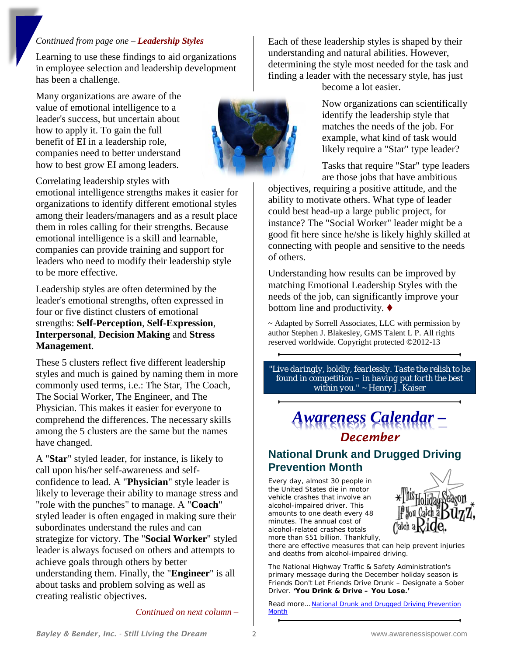#### *Continued from page one – Leadership Styles*

Learning to use these findings to aid organizations in employee selection and leadership development has been a challenge.

Many organizations are aware of the value of emotional intelligence to a leader's success, but uncertain about how to apply it. To gain the full benefit of EI in a leadership role, companies need to better understand how to best grow EI among leaders.

Correlating leadership styles with

emotional intelligence strengths makes it easier for organizations to identify different emotional styles among their leaders/managers and as a result place them in roles calling for their strengths. Because emotional intelligence is a skill and learnable, companies can provide training and support for leaders who need to modify their leadership style to be more effective.

Leadership styles are often determined by the leader's emotional strengths, often expressed in four or five distinct clusters of emotional strengths: **Self-Perception**, **Self-Expression**, **Interpersonal**, **Decision Making** and **Stress Management**.

These 5 clusters reflect five different leadership styles and much is gained by naming them in more commonly used terms, i.e.: The Star, The Coach, The Social Worker, The Engineer, and The Physician. This makes it easier for everyone to comprehend the differences. The necessary skills among the 5 clusters are the same but the names have changed.

A "**Star**" styled leader, for instance, is likely to call upon his/her self-awareness and selfconfidence to lead. A "**Physician**" style leader is likely to leverage their ability to manage stress and "role with the punches" to manage. A "**Coach**" styled leader is often engaged in making sure their subordinates understand the rules and can strategize for victory. The "**Social Worker**" styled leader is always focused on others and attempts to achieve goals through others by better understanding them. Finally, the "**Engineer**" is all about tasks and problem solving as well as creating realistic objectives.

*Continued on next column –*

Each of these leadership styles is shaped by their understanding and natural abilities. However, determining the style most needed for the task and finding a leader with the necessary style, has just

become a lot easier.

Now organizations can scientifically identify the leadership style that matches the needs of the job. For example, what kind of task would likely require a "Star" type leader?

Tasks that require "Star" type leaders are those jobs that have ambitious

objectives, requiring a positive attitude, and the ability to motivate others. What type of leader could best head-up a large public project, for instance? The "Social Worker" leader might be a good fit here since he/she is likely highly skilled at connecting with people and sensitive to the needs of others.

Understanding how results can be improved by matching Emotional Leadership Styles with the needs of the job, can significantly improve your bottom line and productivity.  $\blacklozenge$ 

~ Adapted by Sorrell Associates, LLC with permission by author Stephen J. Blakesley, GMS Talent L P. All rights reserved worldwide. Copyright protected ©2012-13

*"Live daringly, boldly, fearlessly. Taste the relish to be found in competition – in having put forth the best within you."* ~ Henry J. Kaiser

# *Awareness Calendar – December*

## **National Drunk and Drugged Driving Prevention Month**

Every day, almost 30 people in the United States die in motor vehicle crashes that involve an alcohol-impaired driver. This amounts to one death every 48 minutes. The annual cost of alcohol-related crashes totals more than \$51 billion. Thankfully,



there are effective measures that can help prevent injuries and deaths from alcohol-impaired driving.

The National Highway Traffic & Safety Administration's primary message during the December holiday season is Friends Don't Let Friends Drive Drunk – Designate a Sober Driver. **'You Drink & Drive – You Lose.'**

Read more… [National Drunk and Drugged Driving Prevention](http://www.cdc.gov/motorvehiclesafety/impaired_driving/3d.html)  **[Month](http://www.cdc.gov/motorvehiclesafety/impaired_driving/3d.html)** 

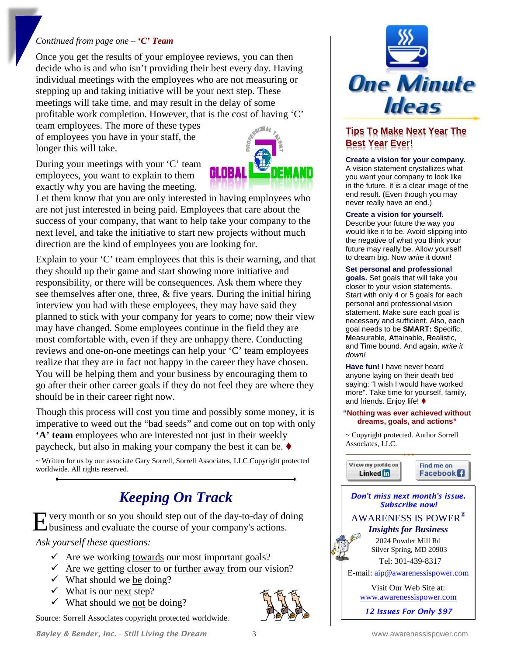#### *Continued from page one – 'C' Team*

Once you get the results of your employee reviews, you can then decide who is and who isn't providing their best every day. Having individual meetings with the employees who are not measuring or stepping up and taking initiative will be your next step. These meetings will take time, and may result in the delay of some profitable work completion. However, that is the cost of having 'C'

team employees. The more of these types of employees you have in your staff, the longer this will take.

During your meetings with your 'C' team employees, you want to explain to them exactly why you are having the meeting.



Let them know that you are only interested in having employees who are not just interested in being paid. Employees that care about the success of your company, that want to help take your company to the next level, and take the initiative to start new projects without much direction are the kind of employees you are looking for.

Explain to your 'C' team employees that this is their warning, and that they should up their game and start showing more initiative and responsibility, or there will be consequences. Ask them where they see themselves after one, three, & five years. During the initial hiring interview you had with these employees, they may have said they planned to stick with your company for years to come; now their view may have changed. Some employees continue in the field they are most comfortable with, even if they are unhappy there. Conducting reviews and one-on-one meetings can help your 'C' team employees realize that they are in fact not happy in the career they have chosen. You will be helping them and your business by encouraging them to go after their other career goals if they do not feel they are where they should be in their career right now.

Though this process will cost you time and possibly some money, it is imperative to weed out the "bad seeds" and come out on top with only **'A' team** employees who are interested not just in their weekly paycheck, but also in making your company the best it can be.

~ Written for us by our associate Gary Sorrell, Sorrell Associates, LLC Copyright protected worldwide. All rights reserved.

## *Keeping On Track*

very month or so you should step out of the day-to-day of doing Experience in the course of your company's actions.<br>
Louisiness and evaluate the course of your company's actions.

*Ask yourself these questions:* 

- $\checkmark$  Are we working towards our most important goals?
- $\checkmark$  Are we getting closer to or further away from our vision?
- $\checkmark$  What should we be doing?
- $\checkmark$  What is our next step?
- $\checkmark$  What should we not be doing?

Source: Sorrell Associates copyright protected worldwide.



## **Tips To Make Next Year The Best Year Ever!**

#### **Create a vision for your company.**

A vision statement crystallizes what you want your company to look like in the future. It is a clear image of the end result. (Even though you may never really have an end.)

#### **Create a vision for yourself.**

Describe your future the way you would like it to be. Avoid slipping into the negative of what you think your future may really be. Allow yourself to dream big. Now *write* it down!

#### **Set personal and professional**

**goals.** Set goals that will take you closer to your vision statements. Start with only 4 or 5 goals for each personal and professional vision statement. Make sure each goal is necessary and sufficient. Also, each goal needs to be **SMART: S**pecific, **M**easurable, **A**ttainable, **R**ealistic, and **T**ime bound. And again, *write it down!*

**Have fun!** I have never heard anyone laying on their death bed saying: "I wish I would have worked more". Take time for yourself, family, and friends. Enjoy life!  $\blacklozenge$ 

#### **"Nothing was ever achieved without dreams, goals, and actions"**

~ Copyright protected. Author Sorrell Associates, LLC.